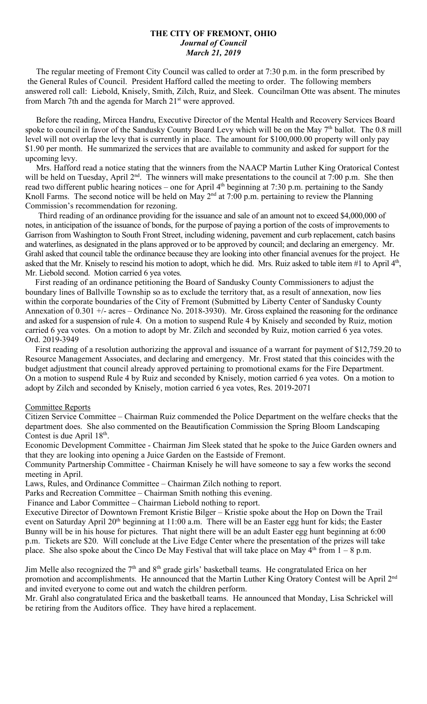### **THE CITY OF FREMONT, OHIO** *Journal of Council March 21, 2019*

 The regular meeting of Fremont City Council was called to order at 7:30 p.m. in the form prescribed by the General Rules of Council. President Hafford called the meeting to order. The following members answered roll call: Liebold, Knisely, Smith, Zilch, Ruiz, and Sleek. Councilman Otte was absent. The minutes from March 7th and the agenda for March 21<sup>st</sup> were approved.

 Before the reading, Mircea Handru, Executive Director of the Mental Health and Recovery Services Board spoke to council in favor of the Sandusky County Board Levy which will be on the May 7<sup>th</sup> ballot. The 0.8 mill level will not overlap the levy that is currently in place. The amount for \$100,000.00 property will only pay \$1.90 per month. He summarized the services that are available to community and asked for support for the upcoming levy.

 Mrs. Hafford read a notice stating that the winners from the NAACP Martin Luther King Oratorical Contest will be held on Tuesday, April 2<sup>nd</sup>. The winners will make presentations to the council at 7:00 p.m. She then read two different public hearing notices – one for April 4<sup>th</sup> beginning at 7:30 p.m. pertaining to the Sandy Knoll Farms. The second notice will be held on May  $2<sup>nd</sup>$  at 7:00 p.m. pertaining to review the Planning Commission's recommendation for rezoning.

 Third reading of an ordinance providing for the issuance and sale of an amount not to exceed \$4,000,000 of notes, in anticipation of the issuance of bonds, for the purpose of paying a portion of the costs of improvements to Garrison from Washington to South Front Street, including widening, pavement and curb replacement, catch basins and waterlines, as designated in the plans approved or to be approved by council; and declaring an emergency. Mr. Grahl asked that council table the ordinance because they are looking into other financial avenues for the project. He asked that the Mr. Knisely to rescind his motion to adopt, which he did. Mrs. Ruiz asked to table item #1 to April 4<sup>th</sup>, Mr. Liebold second. Motion carried 6 yea votes.

 First reading of an ordinance petitioning the Board of Sandusky County Commissioners to adjust the boundary lines of Ballville Township so as to exclude the territory that, as a result of annexation, now lies within the corporate boundaries of the City of Fremont (Submitted by Liberty Center of Sandusky County Annexation of 0.301 +/- acres – Ordinance No. 2018-3930). Mr. Gross explained the reasoning for the ordinance and asked for a suspension of rule 4. On a motion to suspend Rule 4 by Knisely and seconded by Ruiz, motion carried 6 yea votes. On a motion to adopt by Mr. Zilch and seconded by Ruiz, motion carried 6 yea votes. Ord. 2019-3949

 First reading of a resolution authorizing the approval and issuance of a warrant for payment of \$12,759.20 to Resource Management Associates, and declaring and emergency. Mr. Frost stated that this coincides with the budget adjustment that council already approved pertaining to promotional exams for the Fire Department. On a motion to suspend Rule 4 by Ruiz and seconded by Knisely, motion carried 6 yea votes. On a motion to adopt by Zilch and seconded by Knisely, motion carried 6 yea votes, Res. 2019-2071

#### Committee Reports

Citizen Service Committee – Chairman Ruiz commended the Police Department on the welfare checks that the department does. She also commented on the Beautification Commission the Spring Bloom Landscaping Contest is due April  $18^{th}$ .

Economic Development Committee - Chairman Jim Sleek stated that he spoke to the Juice Garden owners and that they are looking into opening a Juice Garden on the Eastside of Fremont.

Community Partnership Committee - Chairman Knisely he will have someone to say a few works the second meeting in April.

Laws, Rules, and Ordinance Committee – Chairman Zilch nothing to report.

Parks and Recreation Committee – Chairman Smith nothing this evening.

Finance and Labor Committee – Chairman Liebold nothing to report.

Executive Director of Downtown Fremont Kristie Bilger – Kristie spoke about the Hop on Down the Trail event on Saturday April 20<sup>th</sup> beginning at 11:00 a.m. There will be an Easter egg hunt for kids; the Easter Bunny will be in his house for pictures. That night there will be an adult Easter egg hunt beginning at 6:00 p.m. Tickets are \$20. Will conclude at the Live Edge Center where the presentation of the prizes will take place. She also spoke about the Cinco De May Festival that will take place on May  $4<sup>th</sup>$  from  $1 - 8$  p.m.

Jim Melle also recognized the 7<sup>th</sup> and 8<sup>th</sup> grade girls' basketball teams. He congratulated Erica on her promotion and accomplishments. He announced that the Martin Luther King Oratory Contest will be April 2<sup>nd</sup> and invited everyone to come out and watch the children perform.

Mr. Grahl also congratulated Erica and the basketball teams. He announced that Monday, Lisa Schrickel will be retiring from the Auditors office. They have hired a replacement.